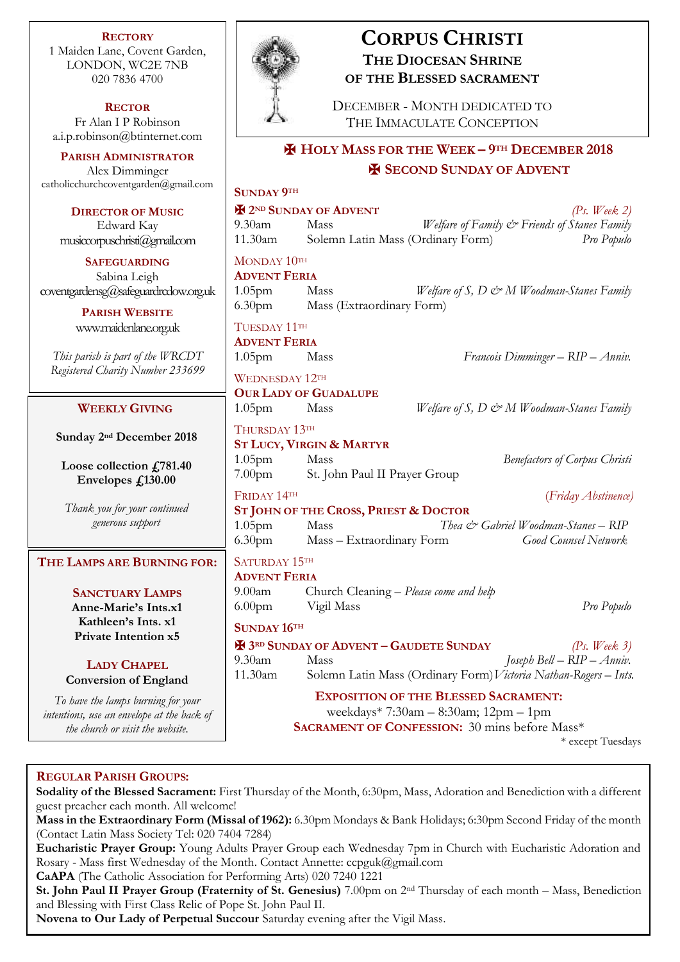**RECTORY** 1 Maiden Lane, Covent Garden, LONDON, WC2E 7NB 020 7836 4700

**RECTOR** Fr Alan I P Robinson [a.i.p.robinson@btinternet.com](mailto:a.i.p.robinson@btinternet.com)

**PARISH ADMINISTRATOR** Alex Dimminger [catholicchurchcoventgarden@gmail.com](mailto:catholicchurchcoventgarden@gmail.com)

**DIRECTOR OF MUSIC** Edward Kay musiccorpuschristi@gmail.com

**SAFEGUARDING** Sabina Leigh [coventgardensg@safeguardrcdow.org.uk](mailto:coventgardensg@safeguardrcdow.org.uk)

> **PARISH WEBSITE** [www.maidenlane.org.uk](http://www.maidenlane.org.uk/)

*This parish is part of the WRCDT Registered Charity Number 233699*

## **WEEKLY GIVING**

Sunday 2<sup>nd</sup> December 2018

**Loose collection £781.40 Envelopes £130.00**

*Thank you for your continued generous support*

## **THE LAMPS ARE BURNING FOR:**

**SANCTUARY LAMPS Anne-Marie's Ints.x1 Kathleen's Ints. x1 Private Intention x5**

**LADY CHAPEL Conversion of England**

*To have the lamps burning for your intentions, use an envelope at the back of the church or visit the website.*



# **CORPUS CHRISTI THE DIOCESAN SHRINE OF THE BLESSED SACRAMENT**

DECEMBER - MONTH DEDICATED TO THE IMMACULATE CONCEPTION

## ✠ **HOLY MASS FOR THE WEEK – 9TH DECEMBER 2018** ✠ **SECOND SUNDAY OF ADVENT**

# **SUNDAY 9TH** ✠ **2ND SUNDAY OF ADVENT** *(Ps. Week 2)* 9.30am Mass *Welfare of Family & Friends of Stanes Family* 11.30am Solemn Latin Mass (Ordinary Form) *Pro Populo* MONDAY 10TH **ADVENT FERIA** 1.05pm Mass *Welfare of S, D & M Woodman-Stanes Family* 6.30pm Mass (Extraordinary Form) TUESDAY 11TH **ADVENT FERIA** 1.05pm Mass *Francois Dimminger – RIP – Anniv.* WEDNESDAY 12TH **OUR LADY OF GUADALUPE** 1.05pm Mass *Welfare of S, D & M Woodman-Stanes Family* THURSDAY 13TH **ST LUCY, VIRGIN & MARTYR** 1.05pm Mass *Benefactors of Corpus Christi* 7.00pm St. John Paul II Prayer Group FRIDAY 14TH (*Friday Abstinence)* **ST JOHN OF THE CROSS, PRIEST & DOCTOR** 1.05pm Mass *Thea & Gabriel Woodman-Stanes – RIP* 6.30pm Mass – Extraordinary Form *Good Counsel Network* SATURDAY 15TH **ADVENT FERIA** 9.00am Church Cleaning – *Please come and help* 6.00pm Vigil Mass *Pro Populo* **SUNDAY 16TH** ✠ **3RD SUNDAY OF ADVENT – GAUDETE SUNDAY** *(Ps. Week 3)* 9.30am Mass *Joseph Bell – RIP – Anniv.* 11.30am Solemn Latin Mass (Ordinary Form)*Victoria Nathan-Rogers – Ints.* **EXPOSITION OF THE BLESSED SACRAMENT:** weekdays\* 7:30am – 8:30am; 12pm – 1pm **SACRAMENT OF CONFESSION:** 30 mins before Mass\*

\* except Tuesdays

## **REGULAR PARISH GROUPS:**

**Sodality of the Blessed Sacrament:** First Thursday of the Month, 6:30pm, Mass, Adoration and Benediction with a different guest preacher each month. All welcome!

**Mass in the Extraordinary Form (Missal of 1962):** 6.30pm Mondays & Bank Holidays; 6:30pm Second Friday of the month (Contact Latin Mass Society Tel: 020 7404 7284)

**Eucharistic Prayer Group:** Young Adults Prayer Group each Wednesday 7pm in Church with Eucharistic Adoration and Rosary - Mass first Wednesday of the Month. Contact Annette: ccpguk@gmail.com

**CaAPA** (The Catholic Association for Performing Arts) 020 7240 1221

**St. John Paul II Prayer Group (Fraternity of St. Genesius)** 7.00pm on 2nd Thursday of each month – Mass, Benediction and Blessing with First Class Relic of Pope St. John Paul II.

**Novena to Our Lady of Perpetual Succour** Saturday evening after the Vigil Mass.